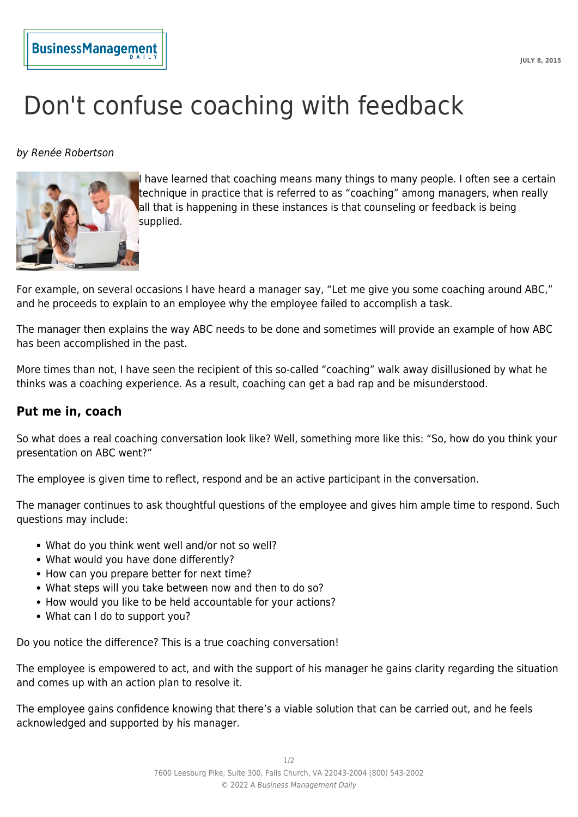## Don't confuse coaching with feedback

by Renée Robertson

**BusinessManagement** 



I have learned that coaching means many things to many people. I often see a certain technique in practice that is referred to as "coaching" among managers, when really all that is happening in these instances is that counseling or feedback is being supplied.

For example, on several occasions I have heard a manager say, "Let me give you some coaching around ABC," and he proceeds to explain to an employee why the employee failed to accomplish a task.

The manager then explains the way ABC needs to be done and sometimes will provide an example of how ABC has been accomplished in the past.

More times than not, I have seen the recipient of this so-called "coaching" walk away disillusioned by what he thinks was a coaching experience. As a result, coaching can get a bad rap and be misunderstood.

## **Put me in, coach**

So what does a real coaching conversation look like? Well, something more like this: "So, how do you think your presentation on ABC went?"

The employee is given time to reflect, respond and be an active participant in the conversation.

The manager continues to ask thoughtful questions of the employee and gives him ample time to respond. Such questions may include:

- What do you think went well and/or not so well?
- What would you have done differently?
- How can you prepare better for next time?
- What steps will you take between now and then to do so?
- How would you like to be held accountable for your actions?
- What can I do to support you?

Do you notice the difference? This is a true coaching conversation!

The employee is empowered to act, and with the support of his manager he gains clarity regarding the situation and comes up with an action plan to resolve it.

The employee gains confidence knowing that there's a viable solution that can be carried out, and he feels acknowledged and supported by his manager.